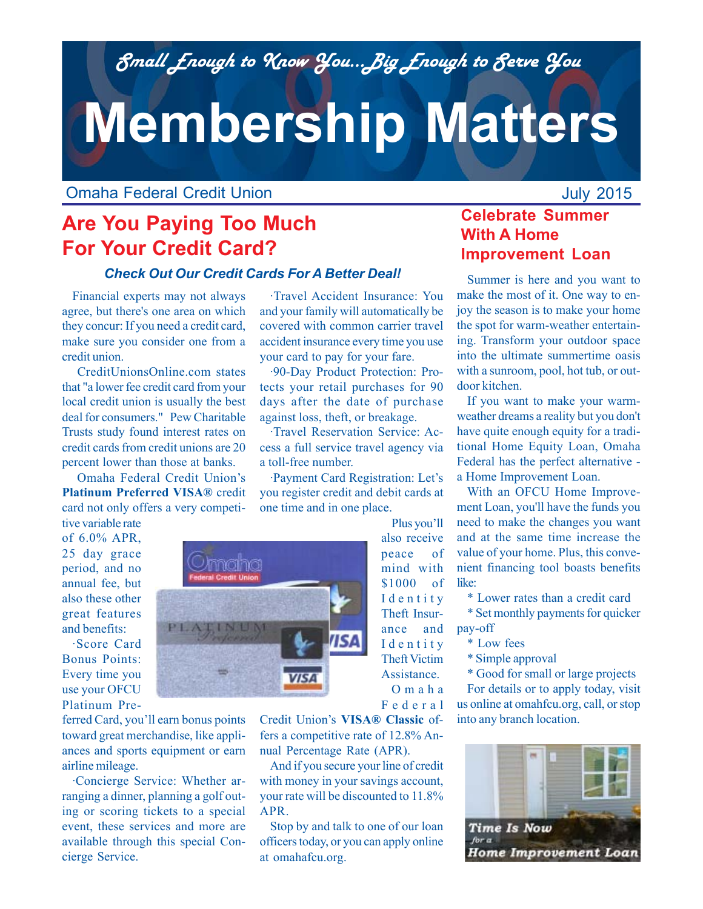*Small Enough to Know You...Big Enough to Serve You*

# **Membership Matters**

Omaha Federal Credit Union

# **Are You Paying Too Much For Your Credit Card?**

#### *Check Out Our Credit Cards For A Better Deal!*

Financial experts may not always agree, but there's one area on which they concur: If you need a credit card, make sure you consider one from a credit union.

 CreditUnionsOnline.com states that "a lower fee credit card from your local credit union is usually the best deal for consumers." Pew Charitable Trusts study found interest rates on credit cards from credit unions are 20 percent lower than those at banks.

 Omaha Federal Credit Union's **Platinum Preferred VISA®** credit card not only offers a very competi-

·Travel Accident Insurance: You and your family will automatically be covered with common carrier travel accident insurance every time you use your card to pay for your fare.

·90-Day Product Protection: Protects your retail purchases for 90 days after the date of purchase against loss, theft, or breakage.

·Travel Reservation Service: Access a full service travel agency via a toll-free number.

·Payment Card Registration: Let's you register credit and debit cards at one time and in one place.

> Plus you'll also receive peace of mind with \$1000 of Identity Theft Insurance and Identity Theft Victim Assistance. Omaha Federal

tive variable rate of 6.0% APR, 25 day grace period, and no annual fee, but also these other great features and benefits:

·Score Card Bonus Points: Every time you use your OFCU Platinum Pre-

ferred Card, you'll earn bonus points toward great merchandise, like appliances and sports equipment or earn airline mileage.

·Concierge Service: Whether arranging a dinner, planning a golf outing or scoring tickets to a special event, these services and more are available through this special Concierge Service.



Credit Union's **VISA® Classic** offers a competitive rate of 12.8% Annual Percentage Rate (APR).

And if you secure your line of credit with money in your savings account, your rate will be discounted to 11.8% APR.

Stop by and talk to one of our loan officers today, or you can apply online at omahafcu.org.

## **Celebrate Summer With A Home Improvement Loan**

July 2015

Summer is here and you want to make the most of it. One way to enjoy the season is to make your home the spot for warm-weather entertaining. Transform your outdoor space into the ultimate summertime oasis with a sunroom, pool, hot tub, or outdoor kitchen.

If you want to make your warmweather dreams a reality but you don't have quite enough equity for a traditional Home Equity Loan, Omaha Federal has the perfect alternative a Home Improvement Loan.

With an OFCU Home Improvement Loan, you'll have the funds you need to make the changes you want and at the same time increase the value of your home. Plus, this convenient financing tool boasts benefits like:

\* Lower rates than a credit card

\* Set monthly payments for quicker pay-off

- \* Low fees
- \* Simple approval

\* Good for small or large projects For details or to apply today, visit us online at omahfcu.org, call, or stop into any branch location.